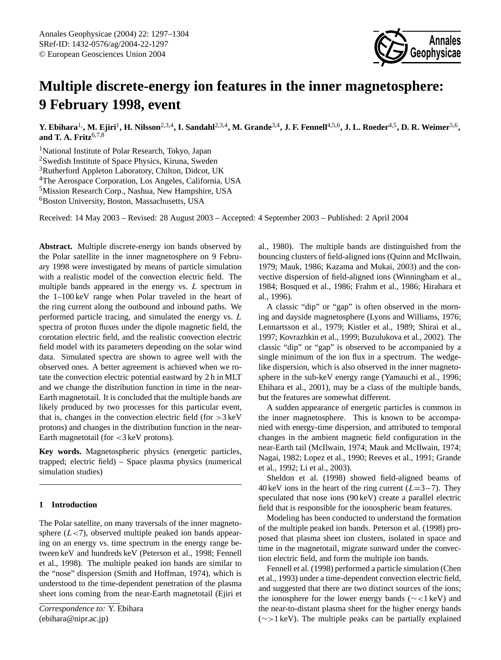

# **Multiple discrete-energy ion features in the inner magnetosphere: 9 February 1998, event**

**Y. Ebihara**1,**, M. Ejiri**<sup>1</sup> **, H. Nilsson**2,3,4**, I. Sandahl**2,3,4**, M. Grande**3,4**, J. F. Fennell**4,5,6**, J. L. Roeder**4,5**, D. R. Weimer**5,6 **, and T. A. Fritz**6,7,8

<sup>1</sup>National Institute of Polar Research, Tokyo, Japan Swedish Institute of Space Physics, Kiruna, Sweden Rutherford Appleton Laboratory, Chilton, Didcot, UK The Aerospace Corporation, Los Angeles, California, USA Mission Research Corp., Nashua, New Hampshire, USA <sup>6</sup>Boston University, Boston, Massachusetts, USA

Received: 14 May 2003 – Revised: 28 August 2003 – Accepted: 4 September 2003 – Published: 2 April 2004

**Abstract.** Multiple discrete-energy ion bands observed by the Polar satellite in the inner magnetosphere on 9 February 1998 were investigated by means of particle simulation with a realistic model of the convection electric field. The multiple bands appeared in the energy vs. L spectrum in the 1–100 keV range when Polar traveled in the heart of the ring current along the outbound and inbound paths. We performed particle tracing, and simulated the energy vs. L spectra of proton fluxes under the dipole magnetic field, the corotation electric field, and the realistic convection electric field model with its parameters depending on the solar wind data. Simulated spectra are shown to agree well with the observed ones. A better agreement is achieved when we rotate the convection electric potential eastward by 2 h in MLT and we change the distribution function in time in the near-Earth magnetotail. It is concluded that the multiple bands are likely produced by two processes for this particular event, that is, changes in the convection electric field (for  $>3 \text{ keV}$ ) protons) and changes in the distribution function in the near-Earth magnetotail (for  $\langle 3 \text{ keV} \rangle$  protons).

**Key words.** Magnetospheric physics (energetic particles, trapped; electric field) – Space plasma physics (numerical simulation studies)

# **1 Introduction**

The Polar satellite, on many traversals of the inner magnetosphere  $(L<7)$ , observed multiple peaked ion bands appearing on an energy vs. time spectrum in the energy range between keV and hundreds keV (Peterson et al., 1998; Fennell et al., 1998). The multiple peaked ion bands are similar to the "nose" dispersion (Smith and Hoffman, 1974), which is understood to the time-dependent penetration of the plasma sheet ions coming from the near-Earth magnetotail (Ejiri et al., 1980). The multiple bands are distinguished from the bouncing clusters of field-aligned ions (Quinn and McIlwain, 1979; Mauk, 1986; Kazama and Mukai, 2003) and the convective dispersion of field-aligned ions (Winningham et al., 1984; Bosqued et al., 1986; Frahm et al., 1986; Hirahara et al., 1996).

A classic "dip" or "gap" is often observed in the morning and dayside magnetosphere (Lyons and Williams, 1976; Lennartsson et al., 1979; Kistler et al., 1989; Shirai et al., 1997; Kovrazhkin et al., 1999; Buzulukova et al., 2002). The classic "dip" or "gap" is observed to be accompanied by a single minimum of the ion flux in a spectrum. The wedgelike dispersion, which is also observed in the inner magnetosphere in the sub-keV energy range (Yamauchi et al., 1996; Ebihara et al., 2001), may be a class of the multiple bands, but the features are somewhat different.

A sudden appearance of energetic particles is common in the inner magnetosphere. This is known to be accompanied with energy-time dispersion, and attributed to temporal changes in the ambient magnetic field configuration in the near-Earth tail (McIlwain, 1974; Mauk and McIlwain, 1974; Nagai, 1982; Lopez et al., 1990; Reeves et al., 1991; Grande et al., 1992; Li et al., 2003).

Sheldon et al. (1998) showed field-aligned beams of 40 keV ions in the heart of the ring current  $(L=3-7)$ . They speculated that nose ions (90 keV) create a parallel electric field that is responsible for the ionospheric beam features.

Modeling has been conducted to understand the formation of the multiple peaked ion bands. Peterson et al. (1998) proposed that plasma sheet ion clusters, isolated in space and time in the magnetotail, migrate sunward under the convection electric field, and form the multiple ion bands.

Fennell et al. (1998) performed a particle simulation (Chen et al., 1993) under a time-dependent convection electric field, and suggested that there are two distinct sources of the ions; the ionosphere for the lower energy bands (∼<1 keV) and the near-to-distant plasma sheet for the higher energy bands (∼>1 keV). The multiple peaks can be partially explained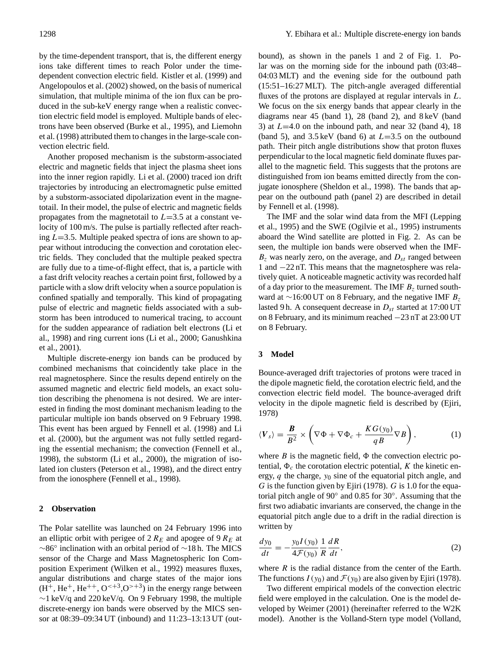by the time-dependent transport, that is, the different energy ions take different times to reach Polor under the timedependent convection electric field. Kistler et al. (1999) and Angelopoulos et al. (2002) showed, on the basis of numerical simulation, that multiple minima of the ion flux can be produced in the sub-keV energy range when a realistic convection electric field model is employed. Multiple bands of electrons have been observed (Burke et al., 1995), and Liemohn et al. (1998) attributed them to changes in the large-scale convection electric field.

Another proposed mechanism is the substorm-associated electric and magnetic fields that inject the plasma sheet ions into the inner region rapidly. Li et al. (2000) traced ion drift trajectories by introducing an electromagnetic pulse emitted by a substorm-associated dipolarization event in the magnetotail. In their model, the pulse of electric and magnetic fields propagates from the magnetotail to  $L=3.5$  at a constant velocity of 100 m/s. The pulse is partially reflected after reaching  $L=3.5$ . Multiple peaked spectra of ions are shown to appear without introducing the convection and corotation electric fields. They concluded that the multiple peaked spectra are fully due to a time-of-flight effect, that is, a particle with a fast drift velocity reaches a certain point first, followed by a particle with a slow drift velocity when a source population is confined spatially and temporally. This kind of propagating pulse of electric and magnetic fields associated with a substorm has been introduced to numerical tracing, to account for the sudden appearance of radiation belt electrons (Li et al., 1998) and ring current ions (Li et al., 2000; Ganushkina et al., 2001).

Multiple discrete-energy ion bands can be produced by combined mechanisms that coincidently take place in the real magnetosphere. Since the results depend entirely on the assumed magnetic and electric field models, an exact solution describing the phenomena is not desired. We are interested in finding the most dominant mechanism leading to the particular multiple ion bands observed on 9 February 1998. This event has been argued by Fennell et al. (1998) and Li et al. (2000), but the argument was not fully settled regarding the essential mechanism; the convection (Fennell et al., 1998), the substorm (Li et al., 2000), the migration of isolated ion clusters (Peterson et al., 1998), and the direct entry from the ionosphere (Fennell et al., 1998).

#### **2 Observation**

The Polar satellite was launched on 24 February 1996 into an elliptic orbit with perigee of 2  $R_E$  and apogee of 9  $R_E$  at ∼86◦ inclination with an orbital period of ∼18 h. The MICS sensor of the Charge and Mass Magnetospheric Ion Composition Experiment (Wilken et al., 1992) measures fluxes, angular distributions and charge states of the major ions  $(H<sup>+</sup>, He<sup>+</sup>, He<sup>++</sup>, O<sup>+</sup>, O<sup>+</sup>)$  in the energy range between ∼1 keV/q and 220 keV/q. On 9 February 1998, the multiple discrete-energy ion bands were observed by the MICS sensor at 08:39–09:34 UT (inbound) and 11:23–13:13 UT (outbound), as shown in the panels 1 and 2 of Fig. 1. Polar was on the morning side for the inbound path (03:48– 04:03 MLT) and the evening side for the outbound path (15:51–16:27 MLT). The pitch-angle averaged differential fluxes of the protons are displayed at regular intervals in L. We focus on the six energy bands that appear clearly in the diagrams near 45 (band 1), 28 (band 2), and 8 keV (band 3) at  $L=4.0$  on the inbound path, and near 32 (band 4), 18 (band 5), and  $3.5 \text{ keV}$  (band 6) at  $L=3.5$  on the outbound path. Their pitch angle distributions show that proton fluxes perpendicular to the local magnetic field dominate fluxes parallel to the magnetic field. This suggests that the protons are distinguished from ion beams emitted directly from the conjugate ionosphere (Sheldon et al., 1998). The bands that appear on the outbound path (panel 2) are described in detail by Fennell et al. (1998).

The IMF and the solar wind data from the MFI (Lepping et al., 1995) and the SWE (Ogilvie et al., 1995) instruments aboard the Wind satellite are plotted in Fig. 2. As can be seen, the multiple ion bands were observed when the IMF- $B<sub>z</sub>$  was nearly zero, on the average, and  $D<sub>st</sub>$  ranged between 1 and −22 nT. This means that the magnetosphere was relatively quiet. A noticeable magnetic activity was recorded half of a day prior to the measurement. The IMF  $B<sub>z</sub>$  turned southward at ∼16:00 UT on 8 February, and the negative IMF  $B_z$ lasted 9 h. A consequent decrease in  $D_{st}$  started at 17:00 UT on 8 February, and its minimum reached −23 nT at 23:00 UT on 8 February.

# **3 Model**

Bounce-averaged drift trajectories of protons were traced in the dipole magnetic field, the corotation electric field, and the convection electric field model. The bounce-averaged drift velocity in the dipole magnetic field is described by (Ejiri, 1978)

$$
\langle V_s \rangle = \frac{B}{B^2} \times \left( \nabla \Phi + \nabla \Phi_c + \frac{KG(y_0)}{qB} \nabla B \right),\tag{1}
$$

where  $B$  is the magnetic field,  $\Phi$  the convection electric potential,  $\Phi_c$  the corotation electric potential, K the kinetic energy,  $q$  the charge,  $y_0$  sine of the equatorial pitch angle, and G is the function given by Ejiri (1978). G is 1.0 for the equatorial pitch angle of 90° and 0.85 for 30°. Assuming that the first two adiabatic invariants are conserved, the change in the equatorial pitch angle due to a drift in the radial direction is written by

$$
\frac{dy_0}{dt} = -\frac{y_0 I(y_0)}{4\mathcal{F}(y_0)} \frac{1}{R} \frac{dR}{dt},
$$
\n(2)

where  $R$  is the radial distance from the center of the Earth. The functions  $I(y_0)$  and  $\mathcal{F}(y_0)$  are also given by Ejiri (1978).

Two different empirical models of the convection electric field were employed in the calculation. One is the model developed by Weimer (2001) (hereinafter referred to the W2K model). Another is the Volland-Stern type model (Volland,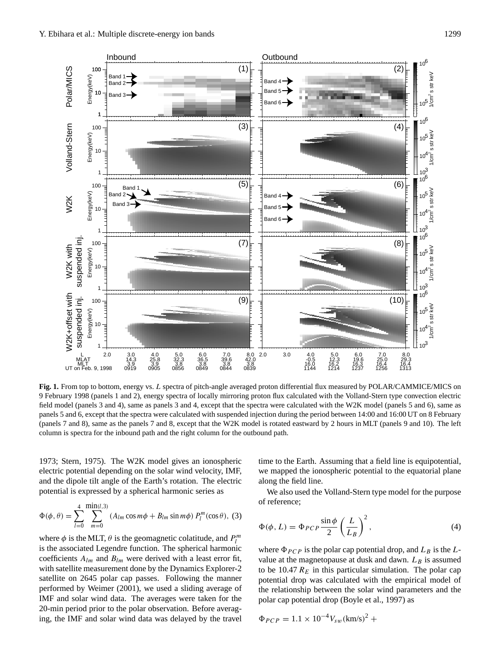

**Fig. 1.** From top to bottom, energy vs. L spectra of pitch-angle averaged proton differential flux measured by POLAR/CAMMICE/MICS on 9 February 1998 (panels 1 and 2), energy spectra of locally mirroring proton flux calculated with the Volland-Stern type convection electric field model (panels 3 and 4), same as panels 3 and 4, except that the spectra were calculated with the W2K model (panels 5 and 6), same as panels 5 and 6, except that the spectra were calculated with suspended injection during the period between 14:00 and 16:00 UT on 8 February (panels 7 and 8), same as the panels 7 and 8, except that the W2K model is rotated eastward by 2 hours in MLT (panels 9 and 10). The left column is spectra for the inbound path and the right column for the outbound path.

1973; Stern, 1975). The W2K model gives an ionospheric electric potential depending on the solar wind velocity, IMF, and the dipole tilt angle of the Earth's rotation. The electric potential is expressed by a spherical harmonic series as

$$
\Phi(\phi,\theta) = \sum_{l=0}^{4} \sum_{m=0}^{\min(l,3)} (A_{lm}\cos m\phi + B_{lm}\sin m\phi) P_l^m(\cos\theta), (3)
$$

where  $\phi$  is the MLT,  $\theta$  is the geomagnetic colatitude, and  $P_l^m$ is the associated Legendre function. The spherical harmonic coefficients  $A_{lm}$  and  $B_{lm}$  were derived with a least error fit, with satellite measurement done by the Dynamics Explorer-2 satellite on 2645 polar cap passes. Following the manner performed by Weimer (2001), we used a sliding average of IMF and solar wind data. The averages were taken for the 20-min period prior to the polar observation. Before averaging, the IMF and solar wind data was delayed by the travel time to the Earth. Assuming that a field line is equipotential, we mapped the ionospheric potential to the equatorial plane along the field line.

We also used the Volland-Stern type model for the purpose of reference;

$$
\Phi(\phi, L) = \Phi_{PCP} \frac{\sin \phi}{2} \left(\frac{L}{L_B}\right)^2, \tag{4}
$$

where  $\Phi_{PCP}$  is the polar cap potential drop, and  $L_B$  is the Lvalue at the magnetopause at dusk and dawn.  $L_B$  is assumed to be 10.47  $R_E$  in this particular simulation. The polar cap potential drop was calculated with the empirical model of the relationship between the solar wind parameters and the polar cap potential drop (Boyle et al., 1997) as

$$
\Phi_{PCP} = 1.1 \times 10^{-4} V_{sw} (\text{km/s})^2 +
$$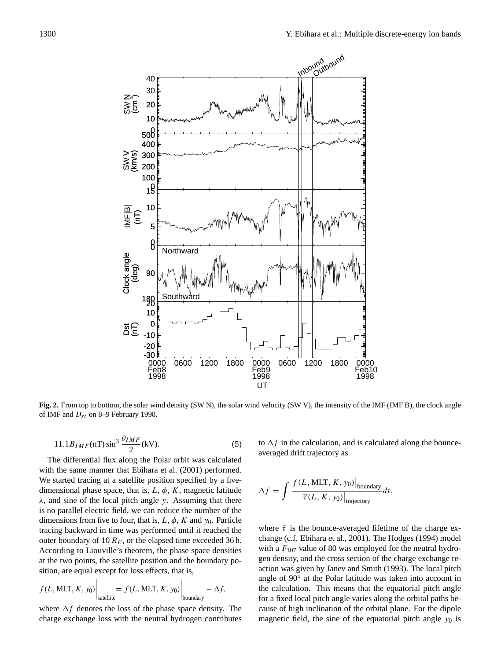

**Fig. 2.** From top to bottom, the solar wind density (SW N), the solar wind velocity (SW V), the intensity of the IMF (IMF B), the clock angle of IMF and  $D_{st}$  on 8–9 February 1998.

$$
11.1B_{IMF}(\text{nT})\sin^3\frac{\theta_{IMF}}{2}(\text{kV}).\tag{5}
$$

The differential flux along the Polar orbit was calculated with the same manner that Ebihara et al. (2001) performed. We started tracing at a satellite position specified by a fivedimensional phase space, that is,  $L$ ,  $\phi$ ,  $K$ , magnetic latitude  $\lambda$ , and sine of the local pitch angle y. Assuming that there is no parallel electric field, we can reduce the number of the dimensions from five to four, that is,  $L$ ,  $\phi$ ,  $K$  and  $y_0$ . Particle tracing backward in time was performed until it reached the outer boundary of 10  $R_E$ , or the elapsed time exceeded 36 h. According to Liouville's theorem, the phase space densities at the two points, the satellite position and the boundary position, are equal except for loss effects, that is,

$$
f(L, MLT, K, y_0)
$$

$$
\left. \int_{\text{satellite}} = f(L, MLT, K, y_0) \right|_{\text{boundary}} - \Delta f,
$$

where  $\Delta f$  denotes the loss of the phase space density. The charge exchange loss with the neutral hydrogen contributes to  $\Delta f$  in the calculation, and is calculated along the bounceaveraged drift trajectory as

$$
\Delta f = \int \frac{f(L, \text{MLT}, K, y_0)|_{\text{boundary}}}{\overline{\tau}(L, K, y_0)|_{\text{trajectory}}} dt,
$$

where  $\bar{\tau}$  is the bounce-averaged lifetime of the charge exchange (c.f. Ebihara et al., 2001). The Hodges (1994) model with a  $F_{107}$  value of 80 was employed for the neutral hydrogen density, and the cross section of the charge exchange reaction was given by Janev and Smith (1993). The local pitch angle of 90◦ at the Polar latitude was taken into account in the calculation. This means that the equatorial pitch angle for a fixed local pitch angle varies along the orbital paths because of high inclination of the orbital plane. For the dipole magnetic field, the sine of the equatorial pitch angle  $y_0$  is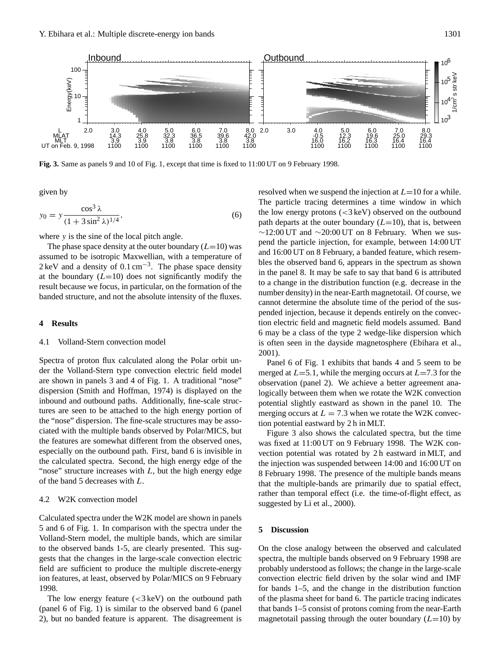

**Fig. 3.** Same as panels 9 and 10 of Fig. 1, except that time is fixed to 11:00 UT on 9 February 1998.

given by

$$
y_0 = y \frac{\cos^3 \lambda}{(1 + 3\sin^2 \lambda)^{1/4}},
$$
\n(6)

where y is the sine of the local pitch angle.

The phase space density at the outer boundary  $(L=10)$  was assumed to be isotropic Maxwellian, with a temperature of 2 keV and a density of  $0.1 \text{ cm}^{-3}$ . The phase space density at the boundary  $(L=10)$  does not significantly modify the result because we focus, in particular, on the formation of the banded structure, and not the absolute intensity of the fluxes.

### **4 Results**

# 4.1 Volland-Stern convection model

Spectra of proton flux calculated along the Polar orbit under the Volland-Stern type convection electric field model are shown in panels 3 and 4 of Fig. 1. A traditional "nose" dispersion (Smith and Hoffman, 1974) is displayed on the inbound and outbound paths. Additionally, fine-scale structures are seen to be attached to the high energy portion of the "nose" dispersion. The fine-scale structures may be associated with the multiple bands observed by Polar/MICS, but the features are somewhat different from the observed ones, especially on the outbound path. First, band 6 is invisible in the calculated spectra. Second, the high energy edge of the "nose" structure increases with  $L$ , but the high energy edge of the band 5 decreases with L.

# 4.2 W2K convection model

Calculated spectra under the W2K model are shown in panels 5 and 6 of Fig. 1. In comparison with the spectra under the Volland-Stern model, the multiple bands, which are similar to the observed bands 1-5, are clearly presented. This suggests that the changes in the large-scale convection electric field are sufficient to produce the multiple discrete-energy ion features, at least, observed by Polar/MICS on 9 February 1998.

The low energy feature  $(<3 \text{ keV})$  on the outbound path (panel 6 of Fig. 1) is similar to the observed band 6 (panel 2), but no banded feature is apparent. The disagreement is resolved when we suspend the injection at  $L=10$  for a while. The particle tracing determines a time window in which the low energy protons  $\left( \langle 3 \rangle \langle 8 \rangle \right)$  observed on the outbound path departs at the outer boundary  $(L=10)$ , that is, between  $\sim$ 12:00 UT and  $\sim$ 20:00 UT on 8 February. When we suspend the particle injection, for example, between 14:00 UT and 16:00 UT on 8 February, a banded feature, which resembles the observed band 6, appears in the spectrum as shown in the panel 8. It may be safe to say that band 6 is attributed to a change in the distribution function (e.g. decrease in the number density) in the near-Earth magnetotail. Of course, we cannot determine the absolute time of the period of the suspended injection, because it depends entirely on the convection electric field and magnetic field models assumed. Band 6 may be a class of the type 2 wedge-like dispersion which is often seen in the dayside magnetosphere (Ebihara et al., 2001).

Panel 6 of Fig. 1 exhibits that bands 4 and 5 seem to be merged at  $L=5.1$ , while the merging occurs at  $L=7.3$  for the observation (panel 2). We achieve a better agreement analogically between them when we rotate the W2K convection potential slightly eastward as shown in the panel 10. The merging occurs at  $L = 7.3$  when we rotate the W2K convection potential eastward by 2 h in MLT.

Figure 3 also shows the calculated spectra, but the time was fixed at 11:00 UT on 9 February 1998. The W2K convection potential was rotated by 2 h eastward in MLT, and the injection was suspended between 14:00 and 16:00 UT on 8 February 1998. The presence of the multiple bands means that the multiple-bands are primarily due to spatial effect, rather than temporal effect (i.e. the time-of-flight effect, as suggested by Li et al., 2000).

# **5 Discussion**

On the close analogy between the observed and calculated spectra, the multiple bands observed on 9 February 1998 are probably understood as follows; the change in the large-scale convection electric field driven by the solar wind and IMF for bands 1–5, and the change in the distribution function of the plasma sheet for band 6. The particle tracing indicates that bands 1–5 consist of protons coming from the near-Earth magnetotail passing through the outer boundary  $(L=10)$  by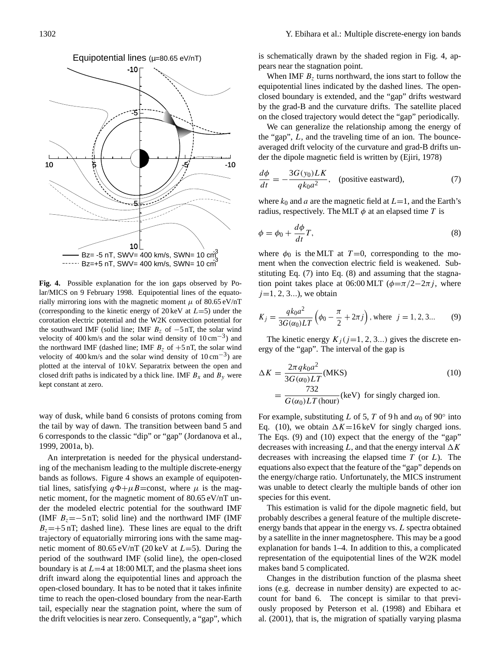

**Fig. 4.** Possible explanation for the ion gaps observed by Polar/MICS on 9 February 1998. Equipotential lines of the equatorially mirroring ions with the magnetic moment  $\mu$  of 80.65 eV/nT (corresponding to the kinetic energy of 20 keV at  $L=5$ ) under the corotation electric potential and the W2K convection potential for the southward IMF (solid line; IMF  $B_z$  of  $-5$  nT, the solar wind velocity of 400 km/s and the solar wind density of  $10 \text{ cm}^{-3}$ ) and the northward IMF (dashed line; IMF  $B_7$  of  $+5$  nT, the solar wind velocity of 400 km/s and the solar wind density of  $10 \text{ cm}^{-3}$ ) are plotted at the interval of 10 kV. Separatrix between the open and closed drift paths is indicated by a thick line. IMF  $B_x$  and  $B_y$  were kept constant at zero.

way of dusk, while band 6 consists of protons coming from the tail by way of dawn. The transition between band 5 and 6 corresponds to the classic "dip" or "gap" (Jordanova et al., 1999, 2001a, b).

An interpretation is needed for the physical understanding of the mechanism leading to the multiple discrete-energy bands as follows. Figure 4 shows an example of equipotential lines, satisfying  $q\Phi+\mu B=$ const, where  $\mu$  is the magnetic moment, for the magnetic moment of 80.65 eV/nT under the modeled electric potential for the southward IMF (IMF  $B_z = -5$  nT; solid line) and the northward IMF (IMF)  $B_z = +5$  nT; dashed line). These lines are equal to the drift trajectory of equatorially mirroring ions with the same magnetic moment of  $80.65 \text{ eV/nT}$  (20 keV at  $L=5$ ). During the period of the southward IMF (solid line), the open-closed boundary is at  $L=4$  at 18:00 MLT, and the plasma sheet ions drift inward along the equipotential lines and approach the open-closed boundary. It has to be noted that it takes infinite time to reach the open-closed boundary from the near-Earth tail, especially near the stagnation point, where the sum of the drift velocities is near zero. Consequently, a "gap", which is schematically drawn by the shaded region in Fig. 4, appears near the stagnation point.

When IMF  $B_7$  turns northward, the ions start to follow the equipotential lines indicated by the dashed lines. The openclosed boundary is extended, and the "gap" drifts westward by the grad-B and the curvature drifts. The satellite placed on the closed trajectory would detect the "gap" periodically.

We can generalize the relationship among the energy of the "gap", L, and the traveling time of an ion. The bounceaveraged drift velocity of the curvature and grad-B drifts under the dipole magnetic field is written by (Ejiri, 1978)

$$
\frac{d\phi}{dt} = -\frac{3G(y_0)LK}{qk_0a^2}, \quad \text{(positive eastward)},\tag{7}
$$

where  $k_0$  and a are the magnetic field at  $L=1$ , and the Earth's radius, respectively. The MLT  $\phi$  at an elapsed time T is

$$
\phi = \phi_0 + \frac{d\phi}{dt}T,\tag{8}
$$

where  $\phi_0$  is the MLT at T=0, corresponding to the moment when the convection electric field is weakened. Substituting Eq. (7) into Eq. (8) and assuming that the stagnation point takes place at 06:00 MLT ( $\phi = \pi/2 - 2\pi j$ , where  $j=1, 2, 3...$ , we obtain

$$
K_j = \frac{qk_0 a^2}{3G(\alpha_0)LT} \left( \phi_0 - \frac{\pi}{2} + 2\pi j \right), \text{ where } j = 1, 2, 3... \tag{9}
$$

The kinetic energy  $K_i (j=1, 2, 3...)$  gives the discrete energy of the "gap". The interval of the gap is

$$
\Delta K = \frac{2\pi q k_0 a^2}{3G(\alpha_0)LT}
$$
(MKS)  
= 
$$
\frac{732}{G(\alpha_0)LT
$$
(keV) for singly charged ion. (10)

For example, substituting L of 5, T of 9h and  $\alpha_0$  of 90° into Eq. (10), we obtain  $\Delta K=16 \,\text{keV}$  for singly charged ions. The Eqs. (9) and (10) expect that the energy of the "gap" decreases with increasing L, and that the energy interval  $\Delta K$ decreases with increasing the elapsed time  $T$  (or  $L$ ). The equations also expect that the feature of the "gap" depends on the energy/charge ratio. Unfortunately, the MICS instrument was unable to detect clearly the multiple bands of other ion species for this event.

This estimation is valid for the dipole magnetic field, but probably describes a general feature of the multiple discreteenergy bands that appear in the energy vs. L spectra obtained by a satellite in the inner magnetosphere. This may be a good explanation for bands 1–4. In addition to this, a complicated representation of the equipotential lines of the W2K model makes band 5 complicated.

Changes in the distribution function of the plasma sheet ions (e.g. decrease in number density) are expected to account for band 6. The concept is similar to that previously proposed by Peterson et al. (1998) and Ebihara et al. (2001), that is, the migration of spatially varying plasma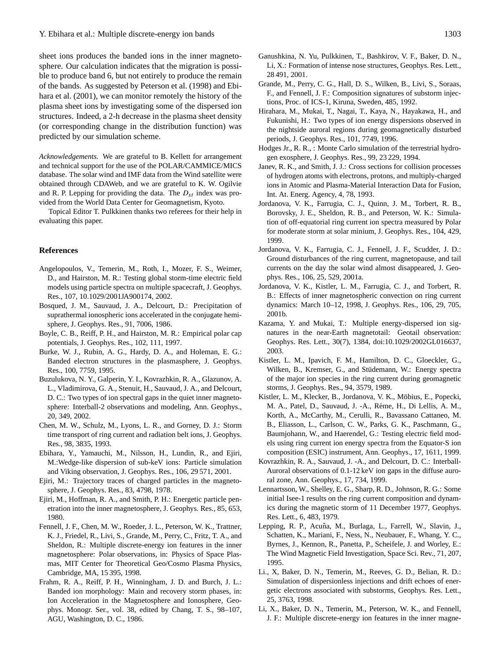sheet ions produces the banded ions in the inner magnetosphere. Our calculation indicates that the migration is possible to produce band 6, but not entirely to produce the remain of the bands. As suggested by Peterson et al. (1998) and Ebihara et al. (2001), we can monitor remotely the history of the plasma sheet ions by investigating some of the dispersed ion structures. Indeed, a 2-h decrease in the plasma sheet density (or corresponding change in the distribution function) was predicted by our simulation scheme.

*Acknowledgements.* We are grateful to B. Kellett for arrangement and technical support for the use of the POLAR/CAMMICE/MICS database. The solar wind and IMF data from the Wind satellite were obtained through CDAWeb, and we are grateful to K. W. Ogilvie and R. P. Lepping for providing the data. The  $D_{st}$  index was provided from the World Data Center for Geomagnetism, Kyoto.

Topical Editor T. Pulkkinen thanks two referees for their help in evaluating this paper.

# **References**

- Angelopoulos, V., Temerin, M., Roth, I., Mozer, F. S., Weimer, D., and Hairston, M. R.: Testing global storm-time electric field models using particle spectra on multiple spacecraft, J. Geophys. Res., 107, 10.1029/2001JA900174, 2002.
- Bosqued, J. M., Sauvaud, J. A., Delcourt, D.: Precipitation of suprathermal ionospheric ions accelerated in the conjugate hemisphere, J. Geophys. Res., 91, 7006, 1986.
- Boyle, C. B., Reiff, P. H., and Hairston, M. R.: Empirical polar cap potentials, J. Geophys. Res., 102, 111, 1997.
- Burke, W. J., Rubin, A. G., Hardy, D. A., and Holeman, E. G.: Banded electron structures in the plasmasphere, J. Geophys. Res., 100, 7759, 1995.
- Buzulukova, N. Y., Galperin, Y. I., Kovrazhkin, R. A., Glazunov, A. L., Vladimirova, G. A., Stenuit, H., Sauvaud, J. A., and Delcourt, D. C.: Two types of ion spectral gaps in the quiet inner magnetosphere: Interball-2 observations and modeling, Ann. Geophys., 20, 349, 2002.
- Chen, M. W., Schulz, M., Lyons, L. R., and Gorney, D. J.: Storm time transport of ring current and radiation belt ions, J. Geophys. Res., 98, 3835, 1993.
- Ebihara, Y., Yamauchi, M., Nilsson, H., Lundin, R., and Ejiri, M.:Wedge-like dispersion of sub-keV ions: Particle simulation and Viking observation, J. Geophys. Res., 106, 29 571, 2001.
- Ejiri, M.: Trajectory traces of charged particles in the magnetosphere, J. Geophys. Res., 83, 4798, 1978.
- Ejiri, M., Hoffman, R. A., and Smith, P. H.: Energetic particle penetration into the inner magnetosphere, J. Geophys. Res., 85, 653, 1980.
- Fennell, J. F., Chen, M. W., Roeder, J. L., Peterson, W. K., Trattner, K. J., Friedel, R., Livi, S., Grande, M., Perry, C., Fritz, T. A., and Sheldon, R.: Multiple discrete-energy ion features in the inner magnetosphere: Polar observations, in: Physics of Space Plasmas, MIT Center for Theoretical Geo/Cosmo Plasma Physics, Cambridge, MA, 15 395, 1998.
- Frahm, R. A., Reiff, P. H., Winningham, J. D. and Burch, J. L.: Banded ion morphology: Main and recovery storm phases, in: Ion Acceleration in the Magnetosphere and Ionosphere, Geophys. Monogr. Ser., vol. 38, edited by Chang, T. S., 98–107, AGU, Washington, D. C., 1986.
- Ganushkina, N. Yu, Pulkkinen, T., Bashkirov, V. F., Baker, D. N., Li, X.: Formation of intense nose structures, Geophys. Res. Lett., 28 491, 2001.
- Grande, M., Perry, C. G., Hall, D. S., Wilken, B., Livi, S., Soraas, F., and Fennell, J. F.: Composition signatures of substorm injections, Proc. of ICS-1, Kiruna, Sweden, 485, 1992.
- Hirahara, M., Mukai, T., Nagai, T., Kaya, N., Hayakawa, H., and Fukunishi, H.: Two types of ion energy dispersions observed in the nightside auroral regions during geomagnetically disturbed periods, J. Geophys. Res., 101, 7749, 1996.
- Hodges Jr., R. R., : Monte Carlo simulation of the terrestrial hydrogen exosphere, J. Geophys. Res., 99, 23 229, 1994.
- Janev, R. K., and Smith, J. J.: Cross sections for collision processes of hydrogen atoms with electrons, protons, and multiply-charged ions in Atomic and Plasma-Material Interaction Data for Fusion, Int. At. Energ. Agency, 4, 78, 1993.
- Jordanova, V. K., Farrugia, C. J., Quinn, J. M., Torbert, R. B., Borovsky, J. E., Sheldon, R. B., and Peterson, W. K.: Simulation of off-equatorial ring current ion spectra measured by Polar for moderate storm at solar minium, J. Geophys. Res., 104, 429, 1999.
- Jordanova, V. K., Farrugia, C. J., Fennell, J. F., Scudder, J. D.: Ground disturbances of the ring current, magnetopause, and tail currents on the day the solar wind almost disappeared, J. Geophys. Res., 106, 25, 529, 2001a.
- Jordanova, V. K., Kistler, L. M., Farrugia, C. J., and Torbert, R. B.: Effects of inner magnetospheric convection on ring current dynamics: March 10–12, 1998, J. Geophys. Res., 106, 29, 705, 2001b.
- Kazama, Y. and Mukai, T.: Multiple energy-dispersed ion signatures in the near-Earth magnetotail: Geotail observation: Geophys. Res. Lett., 30(7), 1384, doi:10.1029/2002GL016637, 2003.
- Kistler, L. M., Ipavich, F. M., Hamilton, D. C., Gloeckler, G., Wilken, B., Kremser, G., and Stüdemann, W.: Energy spectra of the major ion species in the ring current during geomagnetic storms, J. Geophys. Res., 94, 3579, 1989.
- Kistler, L. M., Klecker, B., Jordanova, V. K., Möbius, E., Popecki, M. A., Patel, D., Sauvaud, J. -A., Réme, H., Di Lellis, A. M., Korth, A., McCarthy, M., Cerulli, R., Bavassano Cattaneo, M. B., Eliasson, L., Carlson, C. W., Parks, G. K., Paschmann, G., Baumjohann, W., and Haerendel, G.: Testing electric field models using ring current ion energy spectra from the Equator-S ion composition (ESIC) instrument, Ann. Geophys., 17, 1611, 1999.
- Kovrazhkin, R. A., Sauvaud, J. -A., and Delcourt, D. C.: Interball-Auroral observations of 0.1-12 keV ion gaps in the diffuse auroral zone, Ann. Geophys., 17, 734, 1999.
- Lennartsson, W., Shelley, E. G., Sharp, R. D., Johnson, R. G.: Some initial Isee-1 results on the ring current composition and dynamics during the magnetic storm of 11 December 1977, Geophys. Res. Lett., 6, 483, 1979.
- Lepping, R. P., Acuña, M., Burlaga, L., Farrell, W., Slavin, J., Schatten, K., Mariani, F., Ness, N., Neubauer, F., Whang, Y. C., Byrnes, J., Kennon, R., Panetta, P., Scheifele, J. and Worley, E.: The Wind Magnetic Field Investigation, Space Sci. Rev., 71, 207, 1995.
- Li., X, Baker, D. N., Temerin, M., Reeves, G. D., Belian, R. D.: Simulation of dispersionless injections and drift echoes of energetic electrons associated with substorms, Geophys. Res. Lett., 25, 3763, 1998.
- Li, X., Baker, D. N., Temerin, M., Peterson, W. K., and Fennell, J. F.: Multiple discrete-energy ion features in the inner magne-